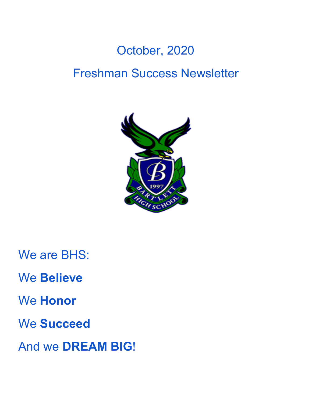# October, 2020 Freshman Success Newsletter



We are BHS:

We **Believe**

We **Honor**

We **Succeed**

And we **DREAM BIG**!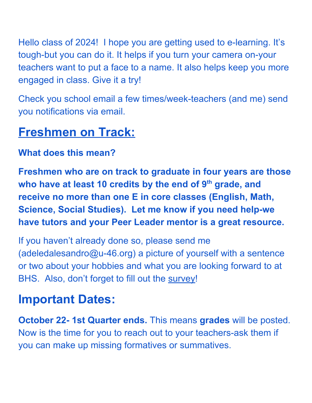Hello class of 2024! I hope you are getting used to e-learning. It's tough-but you can do it. It helps if you turn your camera on-your teachers want to put a face to a name. It also helps keep you more engaged in class. Give it a try!

Check you school email a few times/week-teachers (and me) send you notifications via email.

## **Freshmen on Track:**

### **What does this mean?**

**Freshmen who are on track to graduate in four years are those who have at least 10 credits by the end of 9th grade, and receive no more than one E in core classes (English, Math, Science, Social Studies). Let me know if you need help-we have tutors and your Peer Leader mentor is a great resource.**

If you haven't already done so, please send me (adeledalesandro@u-46.org) a picture of yourself with a sentence or two about your hobbies and what you are looking forward to at BHS. Also, don't forget to fill out the [survey](https://docs.google.com/forms/d/e/1FAIpQLSeIf9xAR9nZlx-Gx_-FatUZPjF1I5wwWjg7ybFGZ15xlbfwrg/viewform?usp=pp_url)!

# **Important Dates:**

**October 22- 1st Quarter ends.** This means **grades** will be posted. Now is the time for you to reach out to your teachers-ask them if you can make up missing formatives or summatives.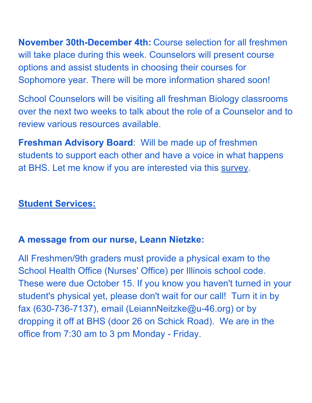**November 30th-December 4th:** Course selection for all freshmen will take place during this week. Counselors will present course options and assist students in choosing their courses for Sophomore year. There will be more information shared soon!

School Counselors will be visiting all freshman Biology classrooms over the next two weeks to talk about the role of a Counselor and to review various resources available.

**Freshman Advisory Board**: Will be made up of freshmen students to support each other and have a voice in what happens at BHS. Let me know if you are interested via this [survey.](https://docs.google.com/forms/d/e/1FAIpQLScAIFXjkrXjNp3arFQEeU903pU-50LSDPOne-WpvpZP3uP3kA/viewform?usp=pp_url)

### **Student Services:**

#### **A message from our nurse, Leann Nietzke:**

All Freshmen/9th graders must provide a physical exam to the School Health Office (Nurses' Office) per Illinois school code. These were due October 15. If you know you haven't turned in your student's physical yet, please don't wait for our call! Turn it in by fax (630-736-7137), email (LeiannNeitzke@u-46.org) or by dropping it off at BHS (door 26 on Schick Road). We are in the office from 7:30 am to 3 pm Monday - Friday.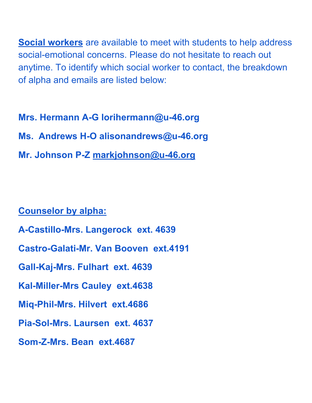**Social workers** are available to meet with students to help address social-emotional concerns. Please do not hesitate to reach out anytime. To identify which social worker to contact, the breakdown of alpha and emails are listed below:

**Mrs. Hermann A-G lorihermann@u-46.org Ms. Andrews H-O alisonandrews@u-46.org Mr. Johnson P-Z [markjohnson@u-46.org](mailto:markjohnson@u-46.org)**

#### **Counselor by alpha:**

- **A-Castillo-Mrs. Langerock ext. 4639**
- **Castro-Galati-Mr. Van Booven ext.4191**
- **Gall-Kaj-Mrs. Fulhart ext. 4639**
- **Kal-Miller-Mrs Cauley ext.4638**
- **Miq-Phil-Mrs. Hilvert ext.4686**
- **Pia-Sol-Mrs. Laursen ext. 4637**
- **Som-Z-Mrs. Bean ext.4687**